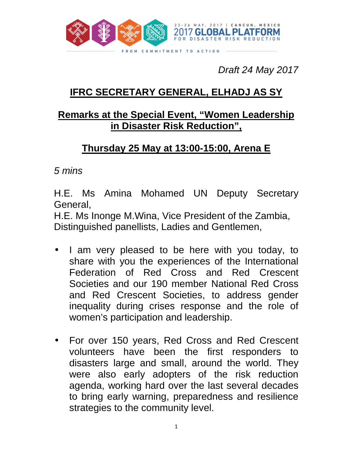

Draft 24 May 2017

## **IFRC SECRETARY GENERAL, ELHADJ AS SY**

## **Remarks at the Special Event, "Women Leadership in Disaster Risk Reduction",**

## **Thursday 25 May at 13:00-15:00, Arena E**

5 mins

H.E. Ms Amina Mohamed UN Deputy Secretary General,

H.E. Ms Inonge M.Wina, Vice President of the Zambia, Distinguished panellists, Ladies and Gentlemen,

- I am very pleased to be here with you today, to share with you the experiences of the International Federation of Red Cross and Red Crescent Societies and our 190 member National Red Cross and Red Crescent Societies, to address gender inequality during crises response and the role of women's participation and leadership.
- For over 150 years, Red Cross and Red Crescent volunteers have been the first responders to disasters large and small, around the world. They were also early adopters of the risk reduction agenda, working hard over the last several decades to bring early warning, preparedness and resilience strategies to the community level.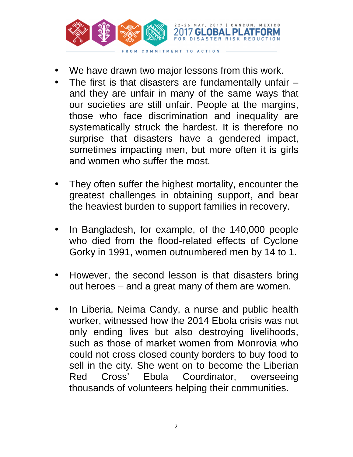

- We have drawn two major lessons from this work.
- The first is that disasters are fundamentally unfair  $$ and they are unfair in many of the same ways that our societies are still unfair. People at the margins, those who face discrimination and inequality are systematically struck the hardest. It is therefore no surprise that disasters have a gendered impact, sometimes impacting men, but more often it is girls and women who suffer the most.
- They often suffer the highest mortality, encounter the greatest challenges in obtaining support, and bear the heaviest burden to support families in recovery.
- In Bangladesh, for example, of the 140,000 people who died from the flood-related effects of Cyclone Gorky in 1991, women outnumbered men by 14 to 1.
- However, the second lesson is that disasters bring out heroes – and a great many of them are women.
- In Liberia, Neima Candy, a nurse and public health worker, witnessed how the 2014 Ebola crisis was not only ending lives but also destroying livelihoods, such as those of market women from Monrovia who could not cross closed county borders to buy food to sell in the city. She went on to become the Liberian Red Cross' Ebola Coordinator, overseeing thousands of volunteers helping their communities.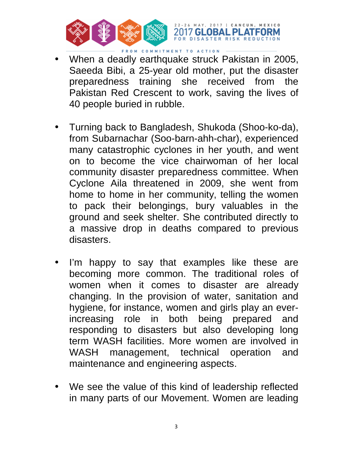

• When a deadly earthquake struck Pakistan in 2005, Saeeda Bibi, a 25-year old mother, put the disaster preparedness training she received from the Pakistan Red Crescent to work, saving the lives of 40 people buried in rubble.

RISK REDUCTION

- Turning back to Bangladesh, Shukoda (Shoo-ko-da), from Subarnachar (Soo-barn-ahh-char), experienced many catastrophic cyclones in her youth, and went on to become the vice chairwoman of her local community disaster preparedness committee. When Cyclone Aila threatened in 2009, she went from home to home in her community, telling the women to pack their belongings, bury valuables in the ground and seek shelter. She contributed directly to a massive drop in deaths compared to previous disasters.
- I'm happy to say that examples like these are becoming more common. The traditional roles of women when it comes to disaster are already changing. In the provision of water, sanitation and hygiene, for instance, women and girls play an everincreasing role in both being prepared and responding to disasters but also developing long term WASH facilities. More women are involved in WASH management, technical operation and maintenance and engineering aspects.
- We see the value of this kind of leadership reflected in many parts of our Movement. Women are leading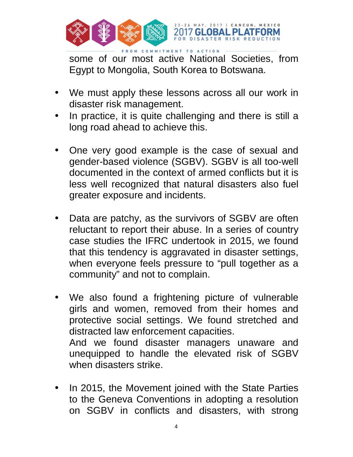

FROM COMMITMENT TO ACTION some of our most active National Societies, from Egypt to Mongolia, South Korea to Botswana.

- We must apply these lessons across all our work in disaster risk management.
- In practice, it is quite challenging and there is still a long road ahead to achieve this.
- One very good example is the case of sexual and gender-based violence (SGBV). SGBV is all too-well documented in the context of armed conflicts but it is less well recognized that natural disasters also fuel greater exposure and incidents.
- Data are patchy, as the survivors of SGBV are often reluctant to report their abuse. In a series of country case studies the IFRC undertook in 2015, we found that this tendency is aggravated in disaster settings, when everyone feels pressure to "pull together as a community" and not to complain.
- We also found a frightening picture of vulnerable girls and women, removed from their homes and protective social settings. We found stretched and distracted law enforcement capacities. And we found disaster managers unaware and unequipped to handle the elevated risk of SGBV when disasters strike.
- In 2015, the Movement joined with the State Parties to the Geneva Conventions in adopting a resolution on SGBV in conflicts and disasters, with strong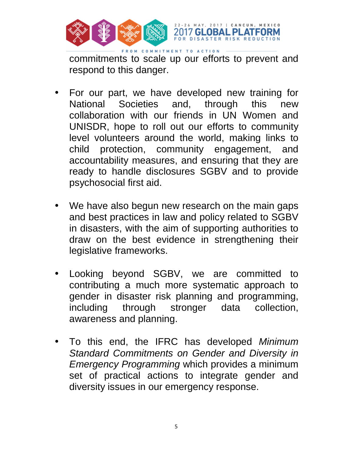

commitments to scale up our efforts to prevent and respond to this danger.

- For our part, we have developed new training for National Societies and, through this new collaboration with our friends in UN Women and UNISDR, hope to roll out our efforts to community level volunteers around the world, making links to child protection, community engagement, and accountability measures, and ensuring that they are ready to handle disclosures SGBV and to provide psychosocial first aid.
- We have also begun new research on the main gaps and best practices in law and policy related to SGBV in disasters, with the aim of supporting authorities to draw on the best evidence in strengthening their legislative frameworks.
- Looking beyond SGBV, we are committed to contributing a much more systematic approach to gender in disaster risk planning and programming, including through stronger data collection, awareness and planning.
- To this end, the IFRC has developed Minimum Standard Commitments on Gender and Diversity in Emergency Programming which provides a minimum set of practical actions to integrate gender and diversity issues in our emergency response.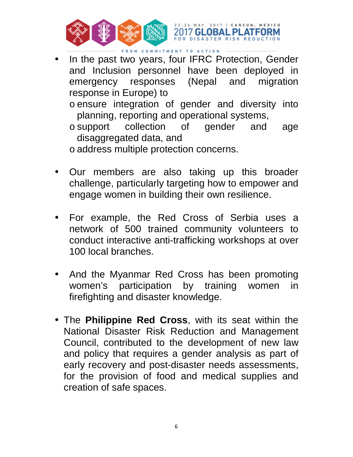

- In the past two years, four IFRC Protection, Gender and Inclusion personnel have been deployed in emergency responses (Nepal and migration response in Europe) to
	- o ensure integration of gender and diversity into planning, reporting and operational systems,
	- o support collection of gender and age disaggregated data, and
	- o address multiple protection concerns.
- Our members are also taking up this broader challenge, particularly targeting how to empower and engage women in building their own resilience.
- For example, the Red Cross of Serbia uses a network of 500 trained community volunteers to conduct interactive anti-trafficking workshops at over 100 local branches.
- And the Myanmar Red Cross has been promoting women's participation by training women in firefighting and disaster knowledge.
- The **Philippine Red Cross**, with its seat within the National Disaster Risk Reduction and Management Council, contributed to the development of new law and policy that requires a gender analysis as part of early recovery and post-disaster needs assessments, for the provision of food and medical supplies and creation of safe spaces.